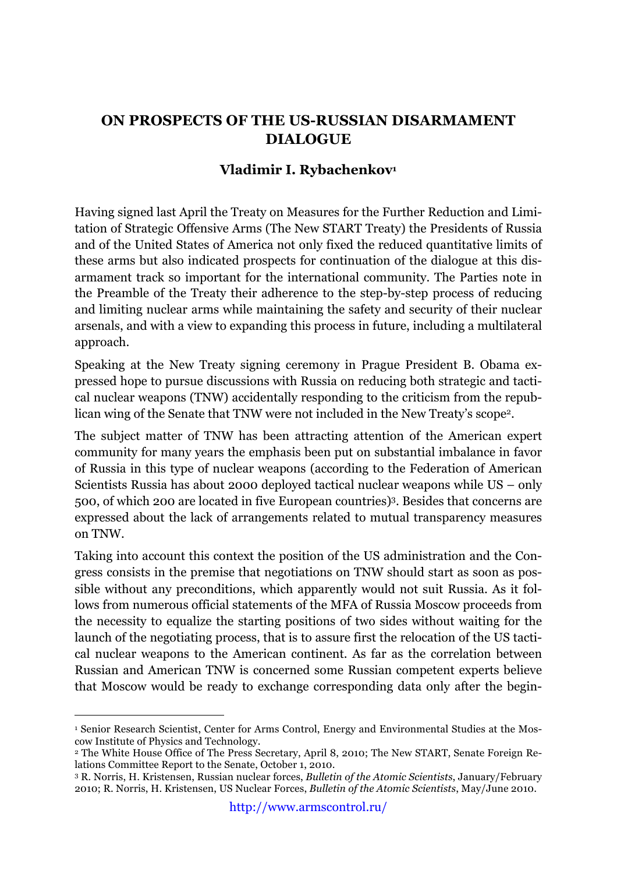## **ON PROSPECTS OF THE US-RUSSIAN DISARMAMENT DIALOGUE**

## **Vladimir I. Rybachenkov1**

Having signed last April the Treaty on Measures for the Further Reduction and Limitation of Strategic Offensive Arms (The New START Treaty) the Presidents of Russia and of the United States of America not only fixed the reduced quantitative limits of these arms but also indicated prospects for continuation of the dialogue at this disarmament track so important for the international community. The Parties note in the Preamble of the Treaty their adherence to the step-by-step process of reducing and limiting nuclear arms while maintaining the safety and security of their nuclear arsenals, and with a view to expanding this process in future, including a multilateral approach.

Speaking at the New Treaty signing ceremony in Prague President B. Obama expressed hope to pursue discussions with Russia on reducing both strategic and tactical nuclear weapons (TNW) accidentally responding to the criticism from the republican wing of the Senate that TNW were not included in the New Treaty's scope2.

The subject matter of TNW has been attracting attention of the American expert community for many years the emphasis been put on substantial imbalance in favor of Russia in this type of nuclear weapons (according to the Federation of American Scientists Russia has about 2000 deployed tactical nuclear weapons while US – only 500, of which 200 are located in five European countries)3. Besides that concerns are expressed about the lack of arrangements related to mutual transparency measures on TNW.

Taking into account this context the position of the US administration and the Congress consists in the premise that negotiations on TNW should start as soon as possible without any preconditions, which apparently would not suit Russia. As it follows from numerous official statements of the MFA of Russia Moscow proceeds from the necessity to equalize the starting positions of two sides without waiting for the launch of the negotiating process, that is to assure first the relocation of the US tactical nuclear weapons to the American continent. As far as the correlation between Russian and American TNW is concerned some Russian competent experts believe that Moscow would be ready to exchange corresponding data only after the begin-

 <sup>1</sup> Senior Research Scientist, Center for Arms Control, Energy and Environmental Studies at the Moscow Institute of Physics and Technology.

<sup>2</sup> The White House Office of The Press Secretary, April 8, 2010; The New START, Senate Foreign Relations Committee Report to the Senate, October 1, 2010.

<sup>3</sup> R. Norris, H. Kristensen, Russian nuclear forces, *Bulletin of the Atomic Scientists*, January/February 2010; R. Norris, H. Kristensen, US Nuclear Forces, *Bulletin of the Atomic Scientists*, May/June 2010.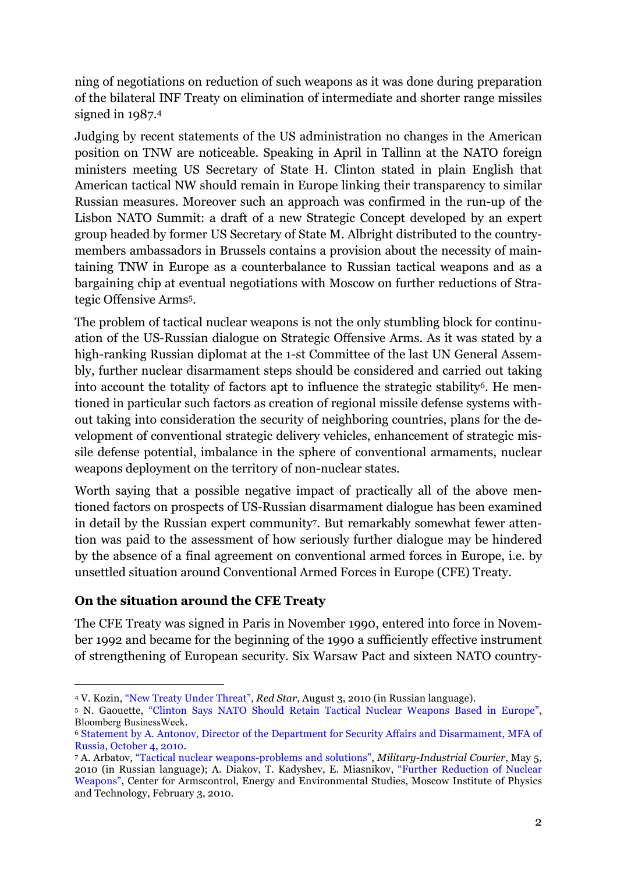ning of negotiations on reduction of such weapons as it was done during preparation of the bilateral INF Treaty on elimination of intermediate and shorter range missiles signed in 1987.4

Judging by recent statements of the US administration no changes in the American position on TNW are noticeable. Speaking in April in Tallinn at the NATO foreign ministers meeting US Secretary of State H. Clinton stated in plain English that American tactical NW should remain in Europe linking their transparency to similar Russian measures. Moreover such an approach was confirmed in the run-up of the Lisbon NATO Summit: a draft of a new Strategic Concept developed by an expert group headed by former US Secretary of State M. Albright distributed to the countrymembers ambassadors in Brussels contains a provision about the necessity of maintaining TNW in Europe as a counterbalance to Russian tactical weapons and as a bargaining chip at eventual negotiations with Moscow on further reductions of Strategic Offensive Arms5.

The problem of tactical nuclear weapons is not the only stumbling block for continuation of the US-Russian dialogue on Strategic Offensive Arms. As it was stated by a high-ranking Russian diplomat at the 1-st Committee of the last UN General Assembly, further nuclear disarmament steps should be considered and carried out taking into account the totality of factors apt to influence the strategic stability<sup>6</sup>. He mentioned in particular such factors as creation of regional missile defense systems without taking into consideration the security of neighboring countries, plans for the development of conventional strategic delivery vehicles, enhancement of strategic missile defense potential, imbalance in the sphere of conventional armaments, nuclear weapons deployment on the territory of non-nuclear states.

Worth saying that a possible negative impact of practically all of the above mentioned factors on prospects of US-Russian disarmament dialogue has been examined in detail by the Russian expert community7. But remarkably somewhat fewer attention was paid to the assessment of how seriously further dialogue may be hindered by the absence of a final agreement on conventional armed forces in Europe, i.e. by unsettled situation around Conventional Armed Forces in Europe (CFE) Treaty.

## **On the situation around the CFE Treaty**

The CFE Treaty was signed in Paris in November 1990, entered into force in November 1992 and became for the beginning of the 1990 a sufficiently effective instrument of strengthening of European security. Six Warsaw Pact and sixteen NATO country-

 <sup>4</sup> V. Kozin, "New Treaty Under Threat", *Red Star*, August 3, 2010 (in Russian language).

<sup>5</sup> N. Gaouette, "Clinton Says NATO Should Retain Tactical Nuclear Weapons Based in Europe", Bloomberg BusinessWeek.

<sup>6</sup> Statement by A. Antonov, Director of the Department for Security Affairs and Disarmament, MFA of Russia, October 4, 2010.

<sup>7</sup> A. Arbatov, "Tactical nuclear weapons-problems and solutions", *Military-Industrial Courier*, May 5, 2010 (in Russian language); A. Diakov, T. Kadyshev, E. Miasnikov, "Further Reduction of Nuclear Weapons", Center for Armscontrol, Energy and Environmental Studies, Moscow Institute of Physics and Technology, February 3, 2010.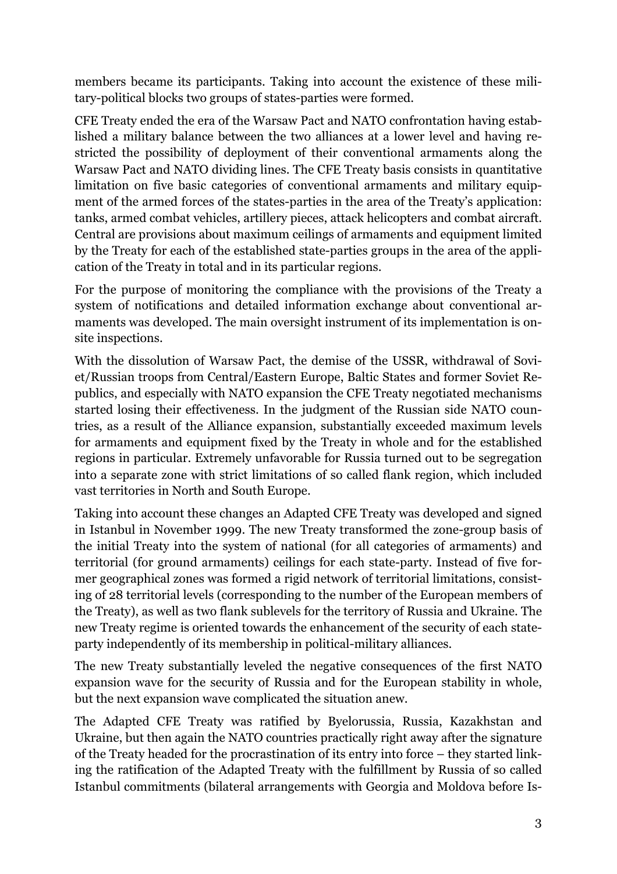members became its participants. Taking into account the existence of these military-political blocks two groups of states-parties were formed.

CFE Treaty ended the era of the Warsaw Pact and NATO confrontation having established a military balance between the two alliances at a lower level and having restricted the possibility of deployment of their conventional armaments along the Warsaw Pact and NATO dividing lines. The CFE Treaty basis consists in quantitative limitation on five basic categories of conventional armaments and military equipment of the armed forces of the states-parties in the area of the Treaty's application: tanks, armed combat vehicles, artillery pieces, attack helicopters and combat aircraft. Central are provisions about maximum ceilings of armaments and equipment limited by the Treaty for each of the established state-parties groups in the area of the application of the Treaty in total and in its particular regions.

For the purpose of monitoring the compliance with the provisions of the Treaty a system of notifications and detailed information exchange about conventional armaments was developed. The main oversight instrument of its implementation is onsite inspections.

With the dissolution of Warsaw Pact, the demise of the USSR, withdrawal of Soviet/Russian troops from Central/Eastern Europe, Baltic States and former Soviet Republics, and especially with NATO expansion the CFE Treaty negotiated mechanisms started losing their effectiveness. In the judgment of the Russian side NATO countries, as a result of the Alliance expansion, substantially exceeded maximum levels for armaments and equipment fixed by the Treaty in whole and for the established regions in particular. Extremely unfavorable for Russia turned out to be segregation into a separate zone with strict limitations of so called flank region, which included vast territories in North and South Europe.

Taking into account these changes an Adapted CFE Treaty was developed and signed in Istanbul in November 1999. The new Treaty transformed the zone-group basis of the initial Treaty into the system of national (for all categories of armaments) and territorial (for ground armaments) ceilings for each state-party. Instead of five former geographical zones was formed a rigid network of territorial limitations, consisting of 28 territorial levels (corresponding to the number of the European members of the Treaty), as well as two flank sublevels for the territory of Russia and Ukraine. The new Treaty regime is oriented towards the enhancement of the security of each stateparty independently of its membership in political-military alliances.

The new Treaty substantially leveled the negative consequences of the first NATO expansion wave for the security of Russia and for the European stability in whole, but the next expansion wave complicated the situation anew.

The Adapted CFE Treaty was ratified by Byelorussia, Russia, Kazakhstan and Ukraine, but then again the NATO countries practically right away after the signature of the Treaty headed for the procrastination of its entry into force – they started linking the ratification of the Adapted Treaty with the fulfillment by Russia of so called Istanbul commitments (bilateral arrangements with Georgia and Moldova before Is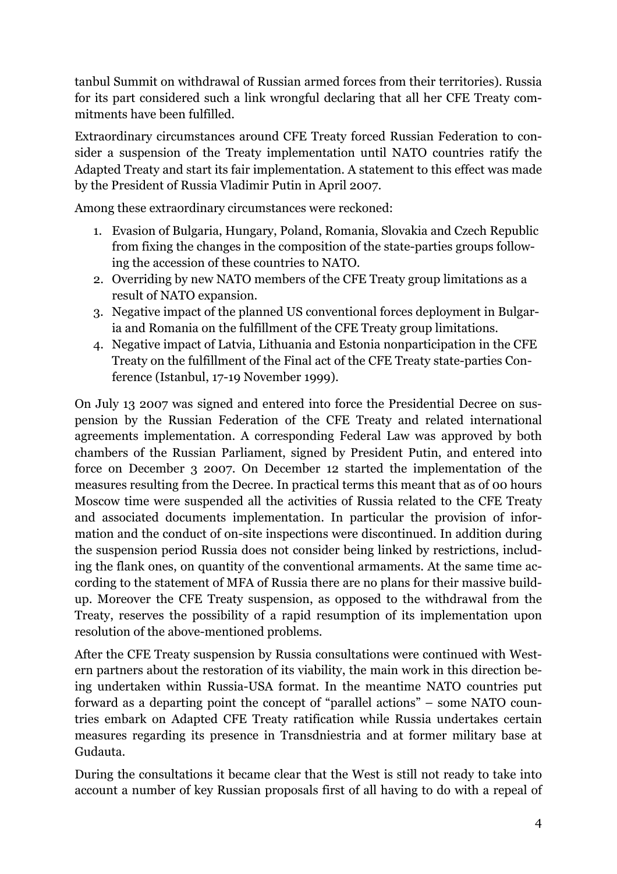tanbul Summit on withdrawal of Russian armed forces from their territories). Russia for its part considered such a link wrongful declaring that all her CFE Treaty commitments have been fulfilled.

Extraordinary circumstances around CFE Treaty forced Russian Federation to consider a suspension of the Treaty implementation until NATO countries ratify the Adapted Treaty and start its fair implementation. A statement to this effect was made by the President of Russia Vladimir Putin in April 2007.

Among these extraordinary circumstances were reckoned:

- 1. Evasion of Bulgaria, Hungary, Poland, Romania, Slovakia and Czech Republic from fixing the changes in the composition of the state-parties groups following the accession of these countries to NATO.
- 2. Overriding by new NATO members of the CFE Treaty group limitations as a result of NATO expansion.
- 3. Negative impact of the planned US conventional forces deployment in Bulgaria and Romania on the fulfillment of the CFE Treaty group limitations.
- 4. Negative impact of Latvia, Lithuania and Estonia nonparticipation in the CFE Treaty on the fulfillment of the Final act of the CFE Treaty state-parties Conference (Istanbul, 17-19 November 1999).

On July 13 2007 was signed and entered into force the Presidential Decree on suspension by the Russian Federation of the CFE Treaty and related international agreements implementation. A corresponding Federal Law was approved by both chambers of the Russian Parliament, signed by President Putin, and entered into force on December 3 2007. On December 12 started the implementation of the measures resulting from the Decree. In practical terms this meant that as of 00 hours Moscow time were suspended all the activities of Russia related to the CFE Treaty and associated documents implementation. In particular the provision of information and the conduct of on-site inspections were discontinued. In addition during the suspension period Russia does not consider being linked by restrictions, including the flank ones, on quantity of the conventional armaments. At the same time according to the statement of MFA of Russia there are no plans for their massive buildup. Moreover the CFE Treaty suspension, as opposed to the withdrawal from the Treaty, reserves the possibility of a rapid resumption of its implementation upon resolution of the above-mentioned problems.

After the CFE Treaty suspension by Russia consultations were continued with Western partners about the restoration of its viability, the main work in this direction being undertaken within Russia-USA format. In the meantime NATO countries put forward as a departing point the concept of "parallel actions" – some NATO countries embark on Adapted CFE Treaty ratification while Russia undertakes certain measures regarding its presence in Transdniestria and at former military base at Gudauta.

During the consultations it became clear that the West is still not ready to take into account a number of key Russian proposals first of all having to do with a repeal of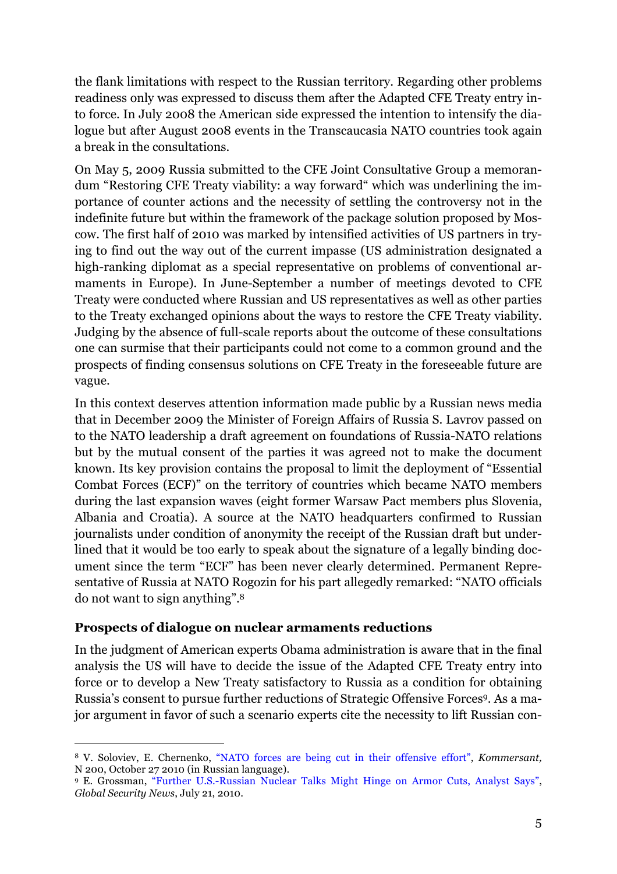the flank limitations with respect to the Russian territory. Regarding other problems readiness only was expressed to discuss them after the Adapted CFE Treaty entry into force. In July 2008 the American side expressed the intention to intensify the dialogue but after August 2008 events in the Transcaucasia NATO countries took again a break in the consultations.

On May 5, 2009 Russia submitted to the CFE Joint Consultative Group a memorandum "Restoring CFE Treaty viability: a way forward" which was underlining the importance of counter actions and the necessity of settling the controversy not in the indefinite future but within the framework of the package solution proposed by Moscow. The first half of 2010 was marked by intensified activities of US partners in trying to find out the way out of the current impasse (US administration designated a high-ranking diplomat as a special representative on problems of conventional armaments in Europe). In June-September a number of meetings devoted to CFE Treaty were conducted where Russian and US representatives as well as other parties to the Treaty exchanged opinions about the ways to restore the CFE Treaty viability. Judging by the absence of full-scale reports about the outcome of these consultations one can surmise that their participants could not come to a common ground and the prospects of finding consensus solutions on CFE Treaty in the foreseeable future are vague.

In this context deserves attention information made public by a Russian news media that in December 2009 the Minister of Foreign Affairs of Russia S. Lavrov passed on to the NATO leadership a draft agreement on foundations of Russia-NATO relations but by the mutual consent of the parties it was agreed not to make the document known. Its key provision contains the proposal to limit the deployment of "Essential Combat Forces (ECF)" on the territory of countries which became NATO members during the last expansion waves (eight former Warsaw Pact members plus Slovenia, Albania and Croatia). A source at the NATO headquarters confirmed to Russian journalists under condition of anonymity the receipt of the Russian draft but underlined that it would be too early to speak about the signature of a legally binding document since the term "ECF" has been never clearly determined. Permanent Representative of Russia at NATO Rogozin for his part allegedly remarked: "NATO officials do not want to sign anything".8

## **Prospects of dialogue on nuclear armaments reductions**

In the judgment of American experts Obama administration is aware that in the final analysis the US will have to decide the issue of the Adapted CFE Treaty entry into force or to develop a New Treaty satisfactory to Russia as a condition for obtaining Russia's consent to pursue further reductions of Strategic Offensive Forces9. As a major argument in favor of such a scenario experts cite the necessity to lift Russian con-

 <sup>8</sup> V. Soloviev, E. Chernenko, "NATO forces are being cut in their offensive effort", *Kommersant,* N 200, October 27 2010 (in Russian language).

<sup>9</sup> E. Grossman, "Further U.S.-Russian Nuclear Talks Might Hinge on Armor Cuts, Analyst Says", *Global Security News*, July 21, 2010.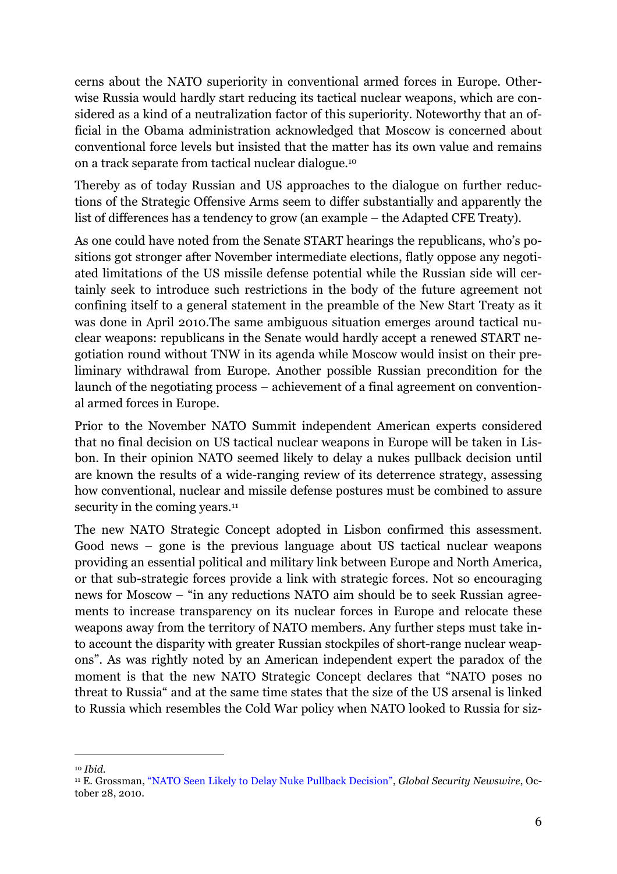cerns about the NATO superiority in conventional armed forces in Europe. Otherwise Russia would hardly start reducing its tactical nuclear weapons, which are considered as a kind of a neutralization factor of this superiority. Noteworthy that an official in the Obama administration acknowledged that Moscow is concerned about conventional force levels but insisted that the matter has its own value and remains on a track separate from tactical nuclear dialogue.10

Thereby as of today Russian and US approaches to the dialogue on further reductions of the Strategic Offensive Arms seem to differ substantially and apparently the list of differences has a tendency to grow (an example – the Adapted CFE Treaty).

As one could have noted from the Senate START hearings the republicans, who's positions got stronger after November intermediate elections, flatly oppose any negotiated limitations of the US missile defense potential while the Russian side will certainly seek to introduce such restrictions in the body of the future agreement not confining itself to a general statement in the preamble of the New Start Treaty as it was done in April 2010.The same ambiguous situation emerges around tactical nuclear weapons: republicans in the Senate would hardly accept a renewed START negotiation round without TNW in its agenda while Moscow would insist on their preliminary withdrawal from Europe. Another possible Russian precondition for the launch of the negotiating process – achievement of a final agreement on conventional armed forces in Europe.

Prior to the November NATO Summit independent American experts considered that no final decision on US tactical nuclear weapons in Europe will be taken in Lisbon. In their opinion NATO seemed likely to delay a nukes pullback decision until are known the results of a wide-ranging review of its deterrence strategy, assessing how conventional, nuclear and missile defense postures must be combined to assure security in the coming years.<sup>11</sup>

The new NATO Strategic Concept adopted in Lisbon confirmed this assessment. Good news – gone is the previous language about US tactical nuclear weapons providing an essential political and military link between Europe and North America, or that sub-strategic forces provide a link with strategic forces. Not so encouraging news for Moscow – "in any reductions NATO aim should be to seek Russian agreements to increase transparency on its nuclear forces in Europe and relocate these weapons away from the territory of NATO members. Any further steps must take into account the disparity with greater Russian stockpiles of short-range nuclear weapons". As was rightly noted by an American independent expert the paradox of the moment is that the new NATO Strategic Concept declares that "NATO poses no threat to Russia" and at the same time states that the size of the US arsenal is linked to Russia which resembles the Cold War policy when NATO looked to Russia for siz-

 <sup>10</sup> *Ibid*.

<sup>11</sup> E. Grossman, "NATO Seen Likely to Delay Nuke Pullback Decision", *Global Security Newswire*, October 28, 2010.